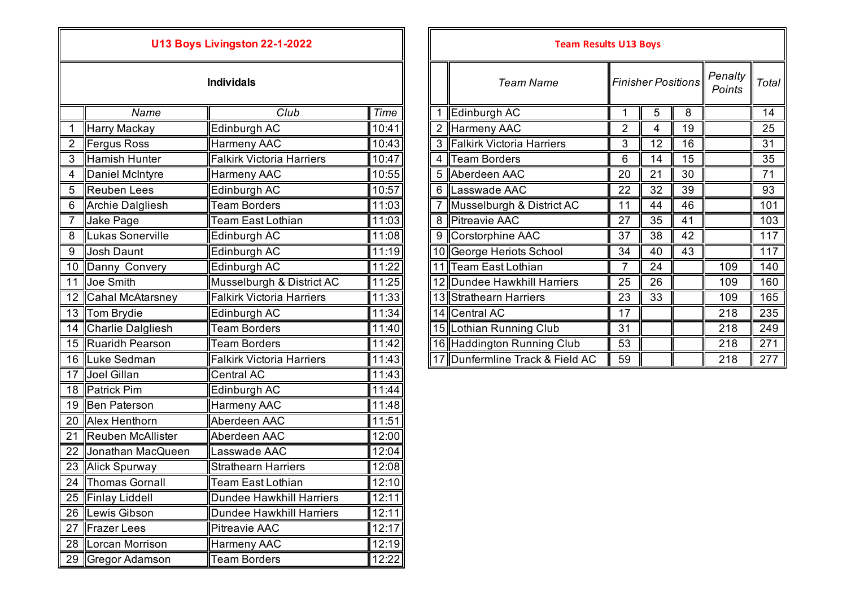## **U13 Boys Livingston 22-1-2022**

|                 | Name                     | Club                             | <b>Time</b> |
|-----------------|--------------------------|----------------------------------|-------------|
| 1               | Harry Mackay             | Edinburgh AC                     | 10:41       |
| $\overline{2}$  | <b>Fergus Ross</b>       | <b>Harmeny AAC</b>               | 10:43       |
| 3               | <b>Hamish Hunter</b>     | <b>Falkirk Victoria Harriers</b> | 10:47       |
| 4               | Daniel McIntyre          | Harmeny AAC                      | 10:55       |
| 5               | <b>Reuben Lees</b>       | Edinburgh AC                     | 10:57       |
| 6               | <b>Archie Dalgliesh</b>  | <b>Team Borders</b>              | 11:03       |
| $\overline{7}$  | Jake Page                | <b>Team East Lothian</b>         | 11:03       |
| 8               | Lukas Sonerville         | Edinburgh AC                     | 11:08       |
| 9               | <b>Josh Daunt</b>        | Edinburgh AC                     | 11:19       |
| 10              | Danny Convery            | Edinburgh AC                     | 11:22       |
| 11              | Joe Smith                | Musselburgh & District AC        | 11:25       |
| 12              | <b>Cahal McAtarsney</b>  | <b>Falkirk Victoria Harriers</b> | 11:33       |
| 13              | <b>Tom Brydie</b>        | Edinburgh AC                     | 11:34       |
| 14              | <b>Charlie Dalgliesh</b> | <b>Team Borders</b>              | 11:40       |
| 15              | <b>Ruaridh Pearson</b>   | <b>Team Borders</b>              | 11:42       |
|                 | 16 Luke Sedman           | <b>Falkirk Victoria Harriers</b> | 11:43       |
| 17              | Joel Gillan              | <b>Central AC</b>                | 11:43       |
| 18              | <b>Patrick Pim</b>       | Edinburgh AC                     | 11:44       |
| 19              | Ben Paterson             | Harmeny AAC                      | 11:48       |
| 20              | Alex Henthorn            | Aberdeen AAC                     | 11:51       |
| $\overline{21}$ | Reuben McAllister        | Aberdeen AAC                     | 12:00       |
| 22              | Jonathan MacQueen        | Lasswade AAC                     | 12:04       |
| 23              | <b>Alick Spurway</b>     | <b>Strathearn Harriers</b>       | 12:08       |
| 24              | <b>Thomas Gornall</b>    | <b>Team East Lothian</b>         | 12:10       |
| 25              | <b>Finlay Liddell</b>    | <b>Dundee Hawkhill Harriers</b>  | 12:11       |
| 26              | Lewis Gibson             | <b>Dundee Hawkhill Harriers</b>  | 12:11       |
| 27              | <b>Frazer Lees</b>       | <b>Pitreavie AAC</b>             | 12:17       |
| 28              | Lorcan Morrison          | Harmeny AAC                      | 12:19       |
| 29              | Gregor Adamson           | <b>Team Borders</b>              | 12:22       |

|                |                      | U13 Boys Livingston 22-1-2022    |       |                | <b>Team Results U13 Boys</b>    |    |                           |    |                   |       |
|----------------|----------------------|----------------------------------|-------|----------------|---------------------------------|----|---------------------------|----|-------------------|-------|
|                |                      | <b>Individals</b>                |       |                | <b>Team Name</b>                |    | <b>Finisher Positions</b> |    | Penalty<br>Points | Total |
|                | Name                 | Club                             | Time  |                | Edinburgh AC                    |    | 5                         | 8  |                   | 14    |
|                | Harry Mackay         | Edinburgh AC                     | 10:41 | $\overline{2}$ | Harmeny AAC                     | 2  | 4                         | 19 |                   | 25    |
|                | Fergus Ross          | Harmeny AAC                      | 10:43 | 3              | Falkirk Victoria Harriers       | 3  | 12                        | 16 |                   | 31    |
| 3              | Hamish Hunter        | <b>Falkirk Victoria Harriers</b> | 10:47 | 4              | Team Borders                    | 6  | 14                        | 15 |                   | 35    |
| 4              | Daniel McIntyre      | Harmeny AAC                      | 10:55 |                | 5 Aberdeen AAC                  | 20 | 21                        | 30 |                   | 71    |
| 5              | Reuben Lees          | Edinburgh AC                     | 10:57 | 6              | Lasswade AAC                    | 22 | 32                        | 39 |                   | 93    |
| 6              | Archie Dalgliesh     | <b>Team Borders</b>              | 11:03 |                | Musselburgh & District AC       | 11 | 44                        | 46 |                   | 101   |
|                | Jake Page            | <b>Team East Lothian</b>         | 11:03 |                | 8 Pitreavie AAC                 | 27 | 35                        | 41 |                   | 103   |
| $\overline{8}$ | Lukas Sonerville     | Edinburgh AC                     | 11:08 |                | 9 Corstorphine AAC              | 37 | 38                        | 42 |                   | 117   |
| 9              | Josh Daunt           | Edinburgh AC                     | 11:19 |                | 10 George Heriots School        | 34 | 40                        | 43 |                   | 117   |
|                | 10 Danny Convery     | Edinburgh AC                     | 11:22 |                | 11 Team East Lothian            | 7  | 24                        |    | 109               | 140   |
| 11             | Joe Smith            | Musselburgh & District AC        | 11:25 |                | 12 Dundee Hawkhill Harriers     | 25 | 26                        |    | 109               | 160   |
|                | 12 Cahal McAtarsney  | <b>Falkirk Victoria Harriers</b> | 11:33 |                | 13 Strathearn Harriers          | 23 | 33                        |    | 109               | 165   |
|                | 13 Tom Brydie        | Edinburgh AC                     | 11:34 |                | 14 Central AC                   | 17 |                           |    | 218               | 235   |
|                | 14 Charlie Dalgliesh | <b>Team Borders</b>              | 11:40 |                | 15 Lothian Running Club         | 31 |                           |    | 218               | 249   |
|                | 15 Ruaridh Pearson   | <b>Team Borders</b>              | 11:42 |                | 16 Haddington Running Club      | 53 |                           |    | 218               | 271   |
|                | 16 Luke Sedman       | <b>Falkirk Victoria Harriers</b> | 11:43 |                | 17 Dunfermline Track & Field AC | 59 |                           |    | 218               | 277   |